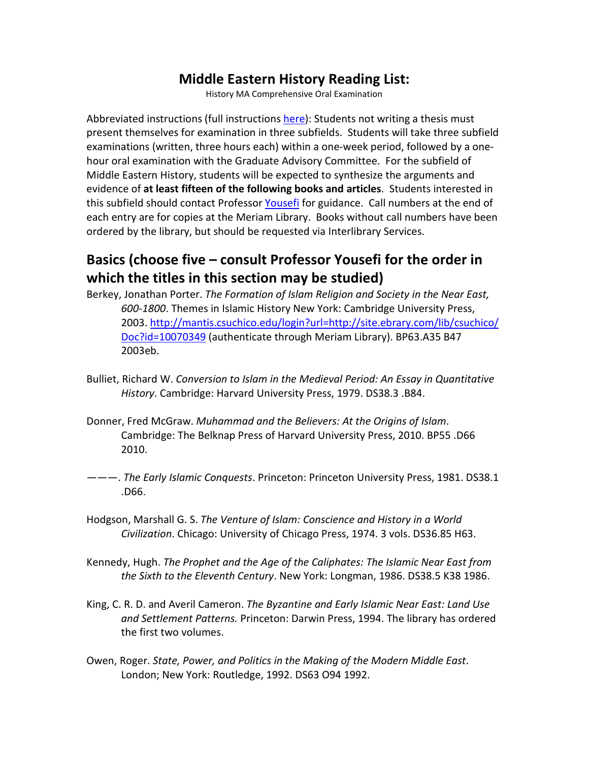## **Middle Eastern History Reading List:**

History MA Comprehensive Oral Examination

Abbreviated instructions (full instructions [here\)](http://www.csuchico.edu/hist/academic-programs/ma-comprehensive-oral-examination.shtml): Students not writing a thesis must present themselves for examination in three subfields. Students will take three subfield examinations (written, three hours each) within a one-week period, followed by a onehour oral examination with the Graduate Advisory Committee. For the subfield of Middle Eastern History, students will be expected to synthesize the arguments and evidence of **at least fifteen of the following books and articles**. Students interested in this subfield should contact Professor [Yousefi](http://www.csuchico.edu/hist/faculty/biographies/yousefi.shtml) for guidance. Call numbers at the end of each entry are for copies at the Meriam Library. Books without call numbers have been ordered by the library, but should be requested via Interlibrary Services.

## **Basics (choose five – consult Professor Yousefi for the order in which the titles in this section may be studied)**

- Berkey, Jonathan Porter. *The Formation of Islam Religion and Society in the Near East, 600-1800*. Themes in Islamic History New York: Cambridge University Press, 2003. [http://mantis.csuchico.edu/login?url=http://site.ebrary.com/lib/csuchico/](http://mantis.csuchico.edu/login?url=http://site.ebrary.com/lib/csuchico/Doc?id=10070349) [Doc?id=10070349](http://mantis.csuchico.edu/login?url=http://site.ebrary.com/lib/csuchico/Doc?id=10070349) (authenticate through Meriam Library). BP63.A35 B47 2003eb.
- Bulliet, Richard W. *Conversion to Islam in the Medieval Period: An Essay in Quantitative History*. Cambridge: Harvard University Press, 1979. DS38.3 .B84.
- Donner, Fred McGraw. *Muhammad and the Believers: At the Origins of Islam*. Cambridge: The Belknap Press of Harvard University Press, 2010. BP55 .D66 2010.
- ———. *The Early Islamic Conquests*. Princeton: Princeton University Press, 1981. DS38.1 .D66.
- Hodgson, Marshall G. S. *The Venture of Islam: Conscience and History in a World Civilization*. Chicago: University of Chicago Press, 1974. 3 vols. DS36.85 H63.
- Kennedy, Hugh. *The Prophet and the Age of the Caliphates: The Islamic Near East from the Sixth to the Eleventh Century*. New York: Longman, 1986. DS38.5 K38 1986.
- King, C. R. D. and Averil Cameron. *The Byzantine and Early Islamic Near East: Land Use and Settlement Patterns.* Princeton: Darwin Press, 1994. The library has ordered the first two volumes.
- Owen, Roger. *State, Power, and Politics in the Making of the Modern Middle East*. London; New York: Routledge, 1992. DS63 O94 1992.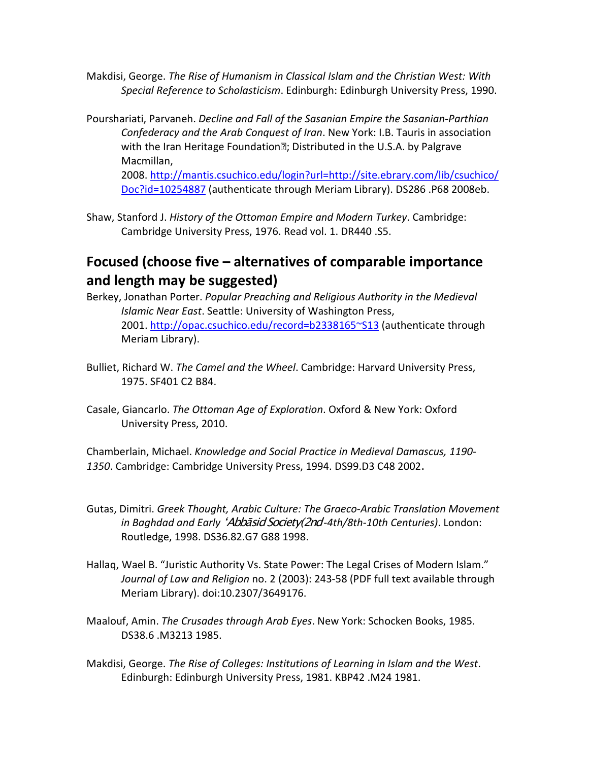- Makdisi, George. *The Rise of Humanism in Classical Islam and the Christian West: With Special Reference to Scholasticism*. Edinburgh: Edinburgh University Press, 1990.
- Pourshariati, Parvaneh. *Decline and Fall of the Sasanian Empire the Sasanian-Parthian Confederacy and the Arab Conquest of Iran*. New York: I.B. Tauris in association with the Iran Heritage Foundation ; Distributed in the U.S.A. by Palgrave Macmillan,

2008. [http://mantis.csuchico.edu/login?url=http://site.ebrary.com/lib/csuchico/](http://mantis.csuchico.edu/login?url=http://site.ebrary.com/lib/csuchico/Doc?id=10254887) [Doc?id=10254887](http://mantis.csuchico.edu/login?url=http://site.ebrary.com/lib/csuchico/Doc?id=10254887) (authenticate through Meriam Library). DS286 .P68 2008eb.

Shaw, Stanford J. *History of the Ottoman Empire and Modern Turkey*. Cambridge: Cambridge University Press, 1976. Read vol. 1. DR440 .S5.

## **Focused (choose five – alternatives of comparable importance and length may be suggested)**

- Berkey, Jonathan Porter. *Popular Preaching and Religious Authority in the Medieval Islamic Near East*. Seattle: University of Washington Press, 2001. <http://opac.csuchico.edu/record=b2338165~S13> (authenticate through Meriam Library).
- Bulliet, Richard W. *The Camel and the Wheel*. Cambridge: Harvard University Press, 1975. SF401 C2 B84.
- Casale, Giancarlo. *The Ottoman Age of Exploration*. Oxford & New York: Oxford University Press, 2010.

Chamberlain, Michael. *Knowledge and Social Practice in Medieval Damascus, 1190- 1350*. Cambridge: Cambridge University Press, 1994. DS99.D3 C48 2002.

- Gutas, Dimitri. *Greek Thought, Arabic Culture: The Graeco-Arabic Translation Movement in Baghdad and Early* ʻAbbāsid Society(2nd*-4th/8th-10th Centuries)*. London: Routledge, 1998. DS36.82.G7 G88 1998.
- Hallaq, Wael B. "Juristic Authority Vs. State Power: The Legal Crises of Modern Islam." *Journal of Law and Religion* no. 2 (2003): 243-58 (PDF full text available through Meriam Library). doi:10.2307/3649176.
- Maalouf, Amin. *The Crusades through Arab Eyes*. New York: Schocken Books, 1985. DS38.6 .M3213 1985.
- Makdisi, George. *The Rise of Colleges: Institutions of Learning in Islam and the West*. Edinburgh: Edinburgh University Press, 1981. KBP42 .M24 1981.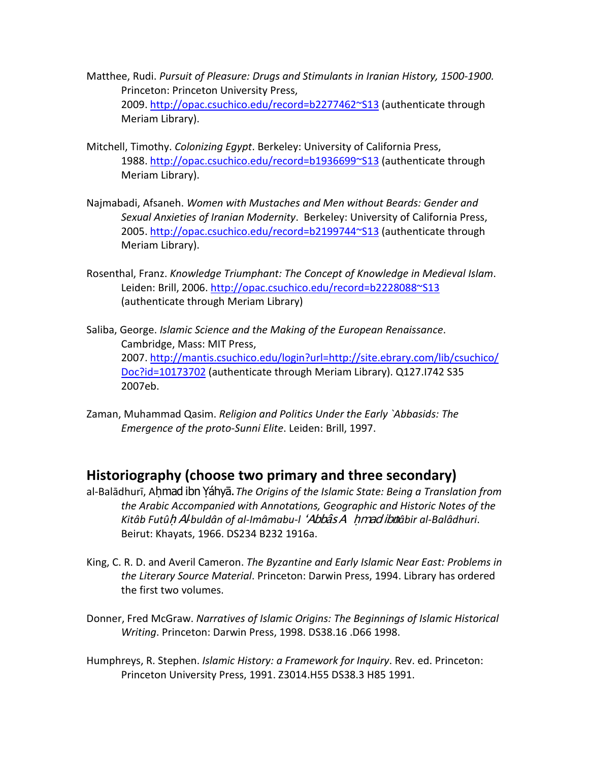- Matthee, Rudi. *Pursuit of Pleasure: Drugs and Stimulants in Iranian History, 1500-1900.* Princeton: Princeton University Press, 2009. <http://opac.csuchico.edu/record=b2277462~S13> (authenticate through Meriam Library).
- Mitchell, Timothy. *Colonizing Egypt*. Berkeley: University of California Press, 1988.<http://opac.csuchico.edu/record=b1936699~S13> (authenticate through Meriam Library).
- Najmabadi, Afsaneh. *Women with Mustaches and Men without Beards: Gender and Sexual Anxieties of Iranian Modernity*. Berkeley: University of California Press, 2005.<http://opac.csuchico.edu/record=b2199744~S13> (authenticate through Meriam Library).
- Rosenthal, Franz. *Knowledge Triumphant: The Concept of Knowledge in Medieval Islam*. Leiden: Brill, 2006. <http://opac.csuchico.edu/record=b2228088~S13> (authenticate through Meriam Library)
- Saliba, George. *Islamic Science and the Making of the European Renaissance*. Cambridge, Mass: MIT Press, 2007. [http://mantis.csuchico.edu/login?url=http://site.ebrary.com/lib/csuchico/](http://mantis.csuchico.edu/login?url=http://site.ebrary.com/lib/csuchico/Doc?id=10173702) [Doc?id=10173702](http://mantis.csuchico.edu/login?url=http://site.ebrary.com/lib/csuchico/Doc?id=10173702) (authenticate through Meriam Library). Q127.I742 S35 2007eb.
- Zaman, Muhammad Qasim. *Religion and Politics Under the Early `Abbasids: The Emergence of the proto-Sunni Elite*. Leiden: Brill, 1997.

## **Historiography (choose two primary and three secondary)**

- al-Balādhurī, Ahmad ibn Yáhyā. The Origins of the Islamic State: Being a Translation from *the Arabic Accompanied with Annotations, Geographic and Historic Notes of the*  Kitâb Futûh Al-buldân of al-Imâmabu-l 'Abbâs A hmad ibnîabir al-Balâdhuri. Beirut: Khayats, 1966. DS234 B232 1916a.
- King, C. R. D. and Averil Cameron. *The Byzantine and Early Islamic Near East: Problems in the Literary Source Material*. Princeton: Darwin Press, 1994. Library has ordered the first two volumes.
- Donner, Fred McGraw. *Narratives of Islamic Origins: The Beginnings of Islamic Historical Writing*. Princeton: Darwin Press, 1998. DS38.16 .D66 1998.
- Humphreys, R. Stephen. *Islamic History: a Framework for Inquiry*. Rev. ed. Princeton: Princeton University Press, 1991. Z3014.H55 DS38.3 H85 1991.